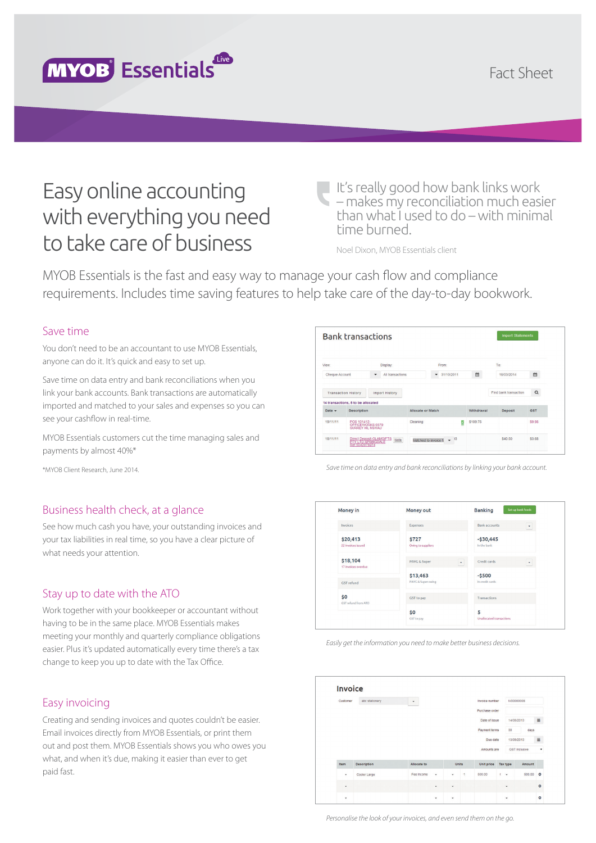

# Easy online accounting with everything you need to take care of business

It's really good how bank links work – makes my reconciliation much easier than what I used to do – with minimal time burned.

Noel Dixon, MYOB Essentials client

MYOB Essentials is the fast and easy way to manage your cash flow and compliance requirements. Includes time saving features to help take care of the day-to-day bookwork.

## Save time

You don't need to be an accountant to use MYOB Essentials, anyone can do it. It's quick and easy to set up.

Save time on data entry and bank reconciliations when you link your bank accounts. Bank transactions are automatically imported and matched to your sales and expenses so you can see your cashflow in real-time.

MYOB Essentials customers cut the time managing sales and payments by almost 40%\*

\*MYOB Client Research, June 2014.

## Business health check, at a glance

See how much cash you have, your outstanding invoices and your tax liabilities in real time, so you have a clear picture of what needs your attention.

#### Stay up to date with the ATO

Work together with your bookkeeper or accountant without having to be in the same place. MYOB Essentials makes meeting your monthly and quarterly compliance obligations easier. Plus it's updated automatically every time there's a tax change to keep you up to date with the Tax Office.

## Easy invoicing

Creating and sending invoices and quotes couldn't be easier. Email invoices directly from MYOB Essentials, or print them out and post them. MYOB Essentials shows you who owes you what, and when it's due, making it easier than ever to get paid fast.

|                    | <b>Bank transactions</b>                                         |                                                                                 |                   |                                          |            | <b>Import Statements</b> |            |
|--------------------|------------------------------------------------------------------|---------------------------------------------------------------------------------|-------------------|------------------------------------------|------------|--------------------------|------------|
| View:              |                                                                  | Display:                                                                        |                   | From:                                    |            | To:                      |            |
| Cheque Account     |                                                                  | All transactions<br>$\blacktriangledown$                                        |                   | 31/10/2011<br>۰                          | 曲          | 19/03/2014               | m          |
|                    | <b>Transaction History</b><br>14 transactions, 5 to be allocated | <b>Import History</b>                                                           |                   |                                          |            | Find bank transaction    | $\alpha$   |
| Date $\rightarrow$ | <b>Description</b>                                               |                                                                                 | Allocate or Match |                                          | Withdrawal | <b>Deposit</b>           | <b>GST</b> |
| 19/11/11           | POS 101412-<br>OFFICEWORKS 0379<br><b>SURREY HIL NSWAU</b>       |                                                                                 | Cleaning          |                                          | \$109.75   |                          | SQ 98      |
| 18/11/11           |                                                                  | Direct Deposit-GLAMGIFTS<br>PTY LTD SPRINGDALE<br>Ref 5042078974<br><b>Note</b> |                   | 13<br>Matched to invoice $N \rightarrow$ |            | \$40.50                  | \$3.68     |
|                    |                                                                  |                                                                                 |                   |                                          |            |                          |            |

*Save time on data entry and bank reconciliations by linking your bank account.*



*Easily get the information you need to make better business decisions.*

| <b>Invoice</b> |                    |              |   |              |   |                |            |                      |                    |
|----------------|--------------------|--------------|---|--------------|---|----------------|------------|----------------------|--------------------|
| Customer       | abc stationery     | $\checkmark$ |   |              |   | Invoice number |            | <b>IV00000008</b>    |                    |
|                |                    |              |   |              |   | Purchase order |            |                      |                    |
|                |                    |              |   |              |   | Date of issue  |            | 14/08/2013           | $\blacksquare$     |
|                |                    |              |   |              |   | Payment terms  | 30         | days                 |                    |
|                |                    |              |   |              |   | Due date       |            | 13/09/2013           | $\equiv$           |
|                |                    |              |   |              |   | Amounts are    |            | <b>GST Inclusive</b> | $\pmb{\mathrm{v}}$ |
| Item           | <b>Description</b> | Allocate to  |   | <b>Units</b> |   | Unit price     | Tax type   | Amount               |                    |
| $\cdot$        | Cooler Large       | Fee Income   | ٠ | ٠            | 1 | 500.00         | $\sqrt{2}$ | 500.00               | $\circ$            |
|                |                    |              |   |              |   |                |            |                      |                    |

*Personalise the look of your invoices, and even send them on the go.*